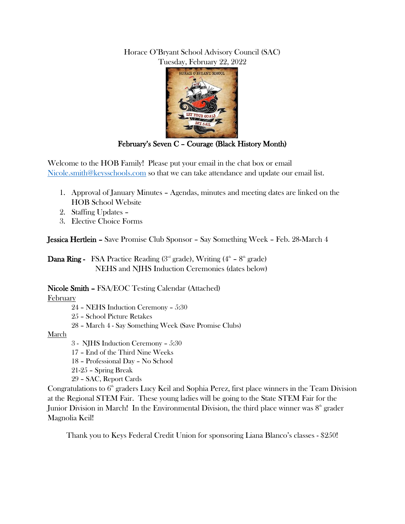## Horace O'Bryant School Advisory Council (SAC) Tuesday, February 22, 2022



February's Seven C – Courage (Black History Month)

Welcome to the HOB Family! Please put your email in the chat box or email [Nicole.smith@keysschools.com](mailto:Nicole.smith@keysschools.com) so that we can take attendance and update our email list.

- 1. Approval of January Minutes Agendas, minutes and meeting dates are linked on the HOB School Website
- 2. Staffing Updates –
- 3. Elective Choice Forms

Jessica Hertlein – Save Promise Club Sponsor – Say Something Week – Feb. 28-March 4

**Dana Ring -** FSA Practice Reading (3<sup>rd</sup> grade), Writing (4<sup>th</sup> – 8<sup>th</sup> grade) NEHS and NJHS Induction Ceremonies (dates below)

## Nicole Smith – FSA/EOC Testing Calendar (Attached)

## February

24 – NEHS Induction Ceremony – 5:30

25 – School Picture Retakes

28 – March 4 - Say Something Week (Save Promise Clubs)

## March

- 3 NJHS Induction Ceremony 5:30
- 17 End of the Third Nine Weeks

18 – Professional Day – No School

- 21-25 Spring Break
- 29 SAC, Report Cards

Congratulations to  $6<sup>th</sup>$  graders Lucy Keil and Sophia Perez, first place winners in the Team Division at the Regional STEM Fair. These young ladies will be going to the State STEM Fair for the Junior Division in March! In the Environmental Division, the third place winner was  $8<sup>th</sup>$  grader Magnolia Keil!

Thank you to Keys Federal Credit Union for sponsoring Liana Blanco's classes - \$250!